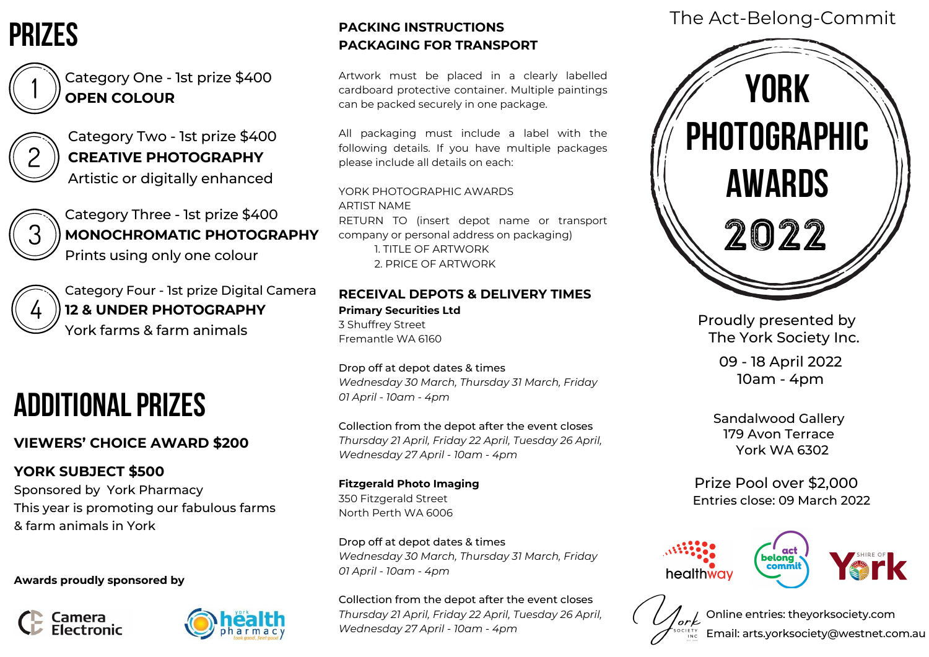Category One - 1st prize \$400 **OPEN COLOUR**

Category Two - 1st prize \$400 **CREATIVE PHOTOGRAPHY** Artistic or digitally enhanced



Category Three - 1st prize \$400 **MONOCHROMATIC PHOTOGRAPHY** Prints using only one colour



## **VIEWERS' CHOICE AWARD \$200**

### **YORK SUBJECT \$500**

Sponsored by York Pharmacy This year is promoting our fabulous farms & farm animals in York

**Awards proudly sponsored by**





Category Four - 1st prize Digital Camera **12 & UNDER PHOTOGRAPHY** York farms & farm animals

# ADDITIONAL PRIZES

## The Act-Belong-Commit

Online entries: theyorksociety.com

Email: arts.yorksociety@westnet.com.au

Sandalwood Gallery 179 Avon Terrace York WA 6302

Proudly presented by The York Society Inc.

> 09 - 18 April 2022 10am - 4pm

Prize Pool over \$2,000 Entries close: 09 March 2022







## prizes





### **PACKING INSTRUCTIONS PACKAGING FOR TRANSPORT**

Artwork must be placed in a clearly labelled cardboard protective container. Multiple paintings can be packed securely in one package.

All packaging must include a label with the following details. If you have multiple packages please include all details on each:

YORK PHOTOGRAPHIC AWARDS ARTIST NAME RETURN TO (insert depot name or transport company or personal address on packaging) 1. TITLE OF ARTWORK 2. PRICE OF ARTWORK

#### **RECEIVAL DEPOTS & DELIVERY TIMES Primary Securities Ltd**

3 Shuffrey Street Fremantle WA 6160

Drop off at depot dates & times *Wednesday 30 March, Thursday 31 March, Friday 01 April - 10am - 4pm*

Collection from the depot after the event closes *Thursday 21 April, Friday 22 April, Tuesday 26 April, Wednesday 27 April - 10am - 4pm*

#### **Fitzgerald Photo Imaging**

350 Fitzgerald Street North Perth WA 6006

Drop off at depot dates & times *Wednesday 30 March, Thursday 31 March, Friday 01 April - 10am - 4pm*

Collection from the depot after the event closes *Thursday 21 April, Friday 22 April, Tuesday 26 April, Wednesday 27 April - 10am - 4pm*